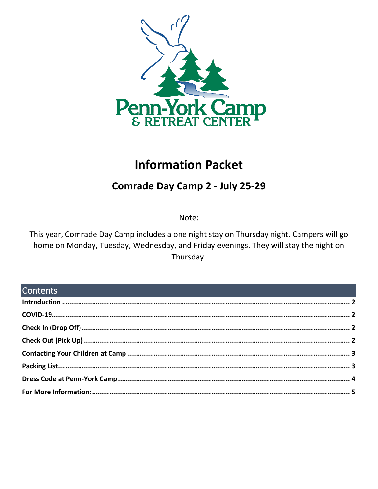

# **Information Packet**

## **Comrade Day Camp 2 - July 25-29**

Note:

This year, Comrade Day Camp includes a one night stay on Thursday night. Campers will go home on Monday, Tuesday, Wednesday, and Friday evenings. They will stay the night on Thursday.

## **Contents**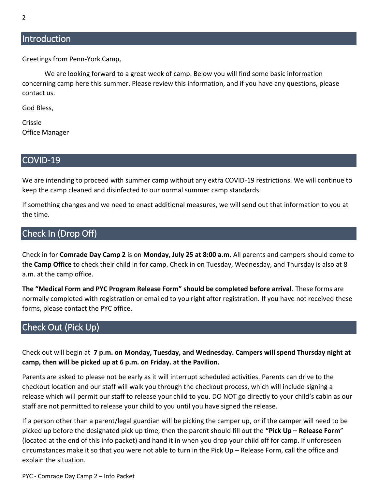#### <span id="page-1-0"></span>**Introduction**

Greetings from Penn-York Camp,

We are looking forward to a great week of camp. Below you will find some basic information concerning camp here this summer. Please review this information, and if you have any questions, please contact us.

God Bless,

Crissie Office Manager

#### <span id="page-1-1"></span>COVID-19

We are intending to proceed with summer camp without any extra COVID-19 restrictions. We will continue to keep the camp cleaned and disinfected to our normal summer camp standards.

If something changes and we need to enact additional measures, we will send out that information to you at the time.

#### <span id="page-1-2"></span>Check In (Drop Off)

Check in for **Comrade Day Camp 2** is on **Monday, July 25 at 8:00 a.m.** All parents and campers should come to the **Camp Office** to check their child in for camp. Check in on Tuesday, Wednesday, and Thursday is also at 8 a.m. at the camp office.

**The "Medical Form and PYC Program Release Form" should be completed before arrival**. These forms are normally completed with registration or emailed to you right after registration. If you have not received these forms, please contact the PYC office.

## <span id="page-1-3"></span>Check Out (Pick Up)

Check out will begin at **7 p.m. on Monday, Tuesday, and Wednesday. Campers will spend Thursday night at camp, then will be picked up at 6 p.m. on Friday. at the Pavilion.**

Parents are asked to please not be early as it will interrupt scheduled activities. Parents can drive to the checkout location and our staff will walk you through the checkout process, which will include signing a release which will permit our staff to release your child to you. DO NOT go directly to your child's cabin as our staff are not permitted to release your child to you until you have signed the release.

If a person other than a parent/legal guardian will be picking the camper up, or if the camper will need to be picked up before the designated pick up time, then the parent should fill out the **"Pick Up – Release Form**" (located at the end of this info packet) and hand it in when you drop your child off for camp. If unforeseen circumstances make it so that you were not able to turn in the Pick Up – Release Form, call the office and explain the situation.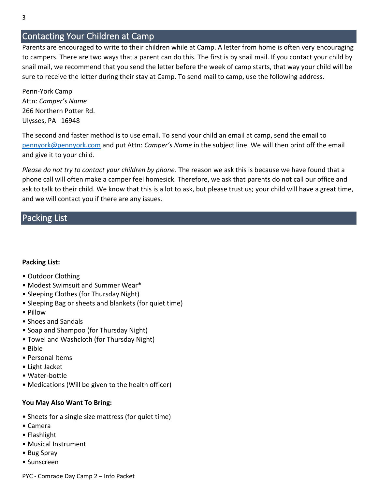### <span id="page-2-0"></span>Contacting Your Children at Camp

Parents are encouraged to write to their children while at Camp. A letter from home is often very encouraging to campers. There are two ways that a parent can do this. The first is by snail mail. If you contact your child by snail mail, we recommend that you send the letter before the week of camp starts, that way your child will be sure to receive the letter during their stay at Camp. To send mail to camp, use the following address.

Penn-York Camp Attn: *Camper's Name* 266 Northern Potter Rd. Ulysses, PA 16948

The second and faster method is to use email. To send your child an email at camp, send the email to [pennyork@pennyork.com](mailto:pennyork@pennyork.com) and put Attn: *Camper's Name* in the subject line. We will then print off the email and give it to your child.

*Please do not try to contact your children by phone.* The reason we ask this is because we have found that a phone call will often make a camper feel homesick. Therefore, we ask that parents do not call our office and ask to talk to their child. We know that this is a lot to ask, but please trust us; your child will have a great time, and we will contact you if there are any issues.

#### <span id="page-2-1"></span>Packing List

#### **Packing List:**

- Outdoor Clothing
- Modest Swimsuit and Summer Wear\*
- Sleeping Clothes (for Thursday Night)
- Sleeping Bag or sheets and blankets (for quiet time)
- Pillow
- Shoes and Sandals
- Soap and Shampoo (for Thursday Night)
- Towel and Washcloth (for Thursday Night)
- Bible
- Personal Items
- Light Jacket
- Water-bottle
- Medications (Will be given to the health officer)

#### **You May Also Want To Bring:**

- Sheets for a single size mattress (for quiet time)
- Camera
- Flashlight
- Musical Instrument
- Bug Spray
- Sunscreen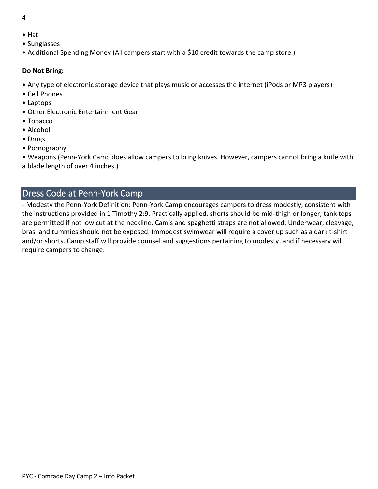- 4
- Hat
- Sunglasses
- Additional Spending Money (All campers start with a \$10 credit towards the camp store.)

#### **Do Not Bring:**

- Any type of electronic storage device that plays music or accesses the internet (iPods or MP3 players)
- Cell Phones
- Laptops
- Other Electronic Entertainment Gear
- Tobacco
- Alcohol
- Drugs
- Pornography

• Weapons (Penn-York Camp does allow campers to bring knives. However, campers cannot bring a knife with a blade length of over 4 inches.)

## <span id="page-3-0"></span>Dress Code at Penn-York Camp

- Modesty the Penn-York Definition: Penn-York Camp encourages campers to dress modestly, consistent with the instructions provided in 1 Timothy 2:9. Practically applied, shorts should be mid-thigh or longer, tank tops are permitted if not low cut at the neckline. Camis and spaghetti straps are not allowed. Underwear, cleavage, bras, and tummies should not be exposed. Immodest swimwear will require a cover up such as a dark t-shirt and/or shorts. Camp staff will provide counsel and suggestions pertaining to modesty, and if necessary will require campers to change.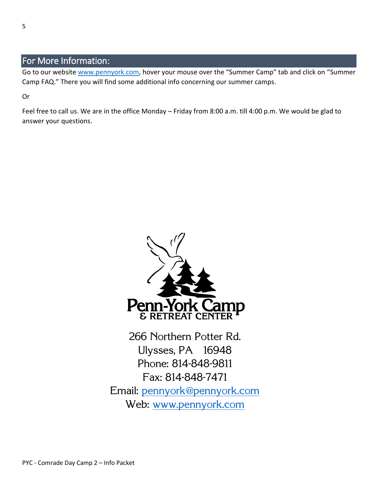## <span id="page-4-0"></span>For More Information:

Go to our website [www.pennyork.com,](http://www.pennyork.com/) hover your mouse over the "Summer Camp" tab and click on "Summer Camp FAQ." There you will find some additional info concerning our summer camps.

Or

Feel free to call us. We are in the office Monday – Friday from 8:00 a.m. till 4:00 p.m. We would be glad to answer your questions.